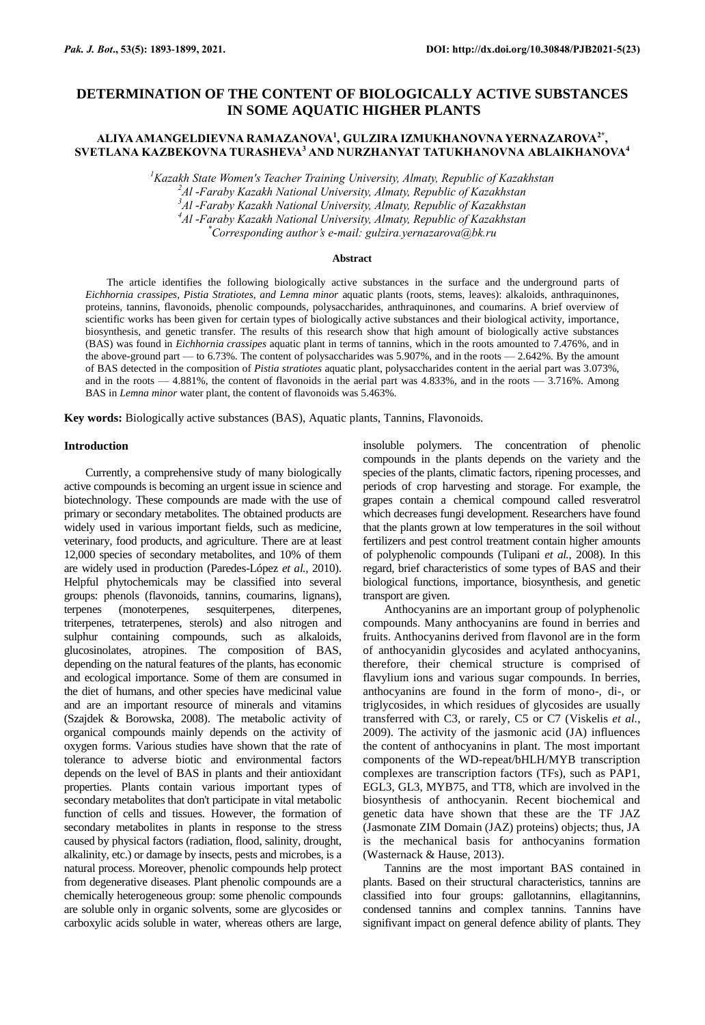# **DETERMINATION OF THE CONTENT OF BIOLOGICALLY ACTIVE SUBSTANCES IN SOME AQUATIC HIGHER PLANTS**

# **ALIYA AMANGELDIEVNA RAMAZANOVA<sup>1</sup> , GULZIRA IZMUKHANOVNA YERNAZAROVA2\* , SVETLANA KAZBEKOVNA TURASHEVA<sup>3</sup> AND NURZHANYAT TATUKHANOVNA ABLAIKHANOVA<sup>4</sup>**

*<sup>1</sup>Kazakh State Women's Teacher Training University, Almaty, Republic of Kazakhstan*

*<sup>2</sup>Al -Faraby Kazakh National University, Almaty, Republic of Kazakhstan*

*<sup>3</sup>Al -Faraby Kazakh National University, Almaty, Republic of Kazakhstan*

*<sup>4</sup>Al -Faraby Kazakh National University, Almaty, Republic of Kazakhstan*

*\*Corresponding author's e-mail: gulzira.yernazarova@bk.ru*

## **Abstract**

The article identifies the following biologically active substances in the surface and the underground parts of *Eichhornia crassipes, Pistia Stratiotes, and Lemna minor* aquatic plants (roots, stems, leaves): alkaloids, anthraquinones, proteins, tannins, flavonoids, phenolic compounds, polysaccharides, anthraquinones, and coumarins. A brief overview of scientific works has been given for certain types of biologically active substances and their biological activity, importance, biosynthesis, and genetic transfer. The results of this research show that high amount of biologically active substances (BAS) was found in *Eichhornia crassipes* aquatic plant in terms of tannins, which in the roots amounted to 7.476%, and in the above-ground part — to 6.73%. The content of polysaccharides was 5.907%, and in the roots — 2.642%. By the amount of BAS detected in the composition of *Pistia stratiotes* aquatic plant, polysaccharides content in the aerial part was 3.073%, and in the roots — 4.881%, the content of flavonoids in the aerial part was 4.833%, and in the roots — 3.716%. Among BAS in *Lemna minor* water plant, the content of flavonoids was 5.463%.

**Key words:** Biologically active substances (BAS), Aquatic plants, Tannins, Flavonoids.

## **Introduction**

Currently, a comprehensive study of many biologically active compounds is becoming an urgent issue in science and biotechnology. These compounds are made with the use of primary or secondary metabolites. The obtained products are widely used in various important fields, such as medicine, veterinary, food products, and agriculture. There are at least 12,000 species of secondary metabolites, and 10% of them are widely used in production (Paredes-López *et al.*, 2010). Helpful phytochemicals may be classified into several groups: phenols (flavonoids, tannins, coumarins, lignans), terpenes (monoterpenes, sesquiterpenes, diterpenes, triterpenes, tetraterpenes, sterols) and also nitrogen and sulphur containing compounds, such as alkaloids, glucosinolates, atropines. The composition of BAS, depending on the natural features of the plants, has economic and ecological importance. Some of them are consumed in the diet of humans, and other species have medicinal value and are an important resource of minerals and vitamins (Szajdek & Borowska, 2008). The metabolic activity of organical compounds mainly depends on the activity of oxygen forms. Various studies have shown that the rate of tolerance to adverse biotic and environmental factors depends on the level of BAS in plants and their antioxidant properties. Plants contain various important types of secondary metabolites that don't participate in vital metabolic function of cells and tissues. However, the formation of secondary metabolites in plants in response to the stress caused by physical factors (radiation, flood, salinity, drought, alkalinity, etc.) or damage by insects, pests and microbes, is a natural process. Moreover, phenolic compounds help protect from degenerative diseases. Plant phenolic compounds are a chemically heterogeneous group: some phenolic compounds are soluble only in organic solvents, some are glycosides or carboxylic acids soluble in water, whereas others are large,

insoluble polymers. The concentration of phenolic compounds in the plants depends on the variety and the species of the plants, climatic factors, ripening processes, and periods of crop harvesting and storage. For example, the grapes contain a chemical compound called resveratrol which decreases fungi development. Researchers have found that the plants grown at low temperatures in the soil without fertilizers and pest control treatment contain higher amounts of polyphenolic compounds (Tulipani *et al.*, 2008). In this regard, brief characteristics of some types of BAS and their biological functions, importance, biosynthesis, and genetic transport are given.

Anthocyanins are an important group of polyphenolic compounds. Many anthocyanins are found in berries and fruits. Anthocyanins derived from flavonol are in the form of anthocyanidin glycosides and acylated anthocyanins, therefore, their chemical structure is comprised of flavylium ions and various sugar compounds. In berries, anthocyanins are found in the form of mono-, di-, or triglycosides, in which residues of glycosides are usually transferred with C3, or rarely, C5 or C7 (Viskelis *et al.*, 2009). The activity of the jasmonic acid (JA) influences the content of anthocyanins in plant. The most important components of the WD-repeat/bHLH/MYB transcription complexes are transcription factors (TFs), such as PAP1, EGL3, GL3, MYB75, and TT8, which are involved in the biosynthesis of anthocyanin. Recent biochemical and genetic data have shown that these are the TF JAZ (Jasmonate ZIM Domain (JAZ) proteins) objects; thus, JA is the mechanical basis for anthocyanins formation (Wasternack & Hause, 2013).

Tannins are the most important BAS contained in plants. Based on their structural characteristics, tannins are classified into four groups: gallotannins, ellagitannins, condensed tannins and complex tannins. Tannins have signifivant impact on general defence ability of plants. They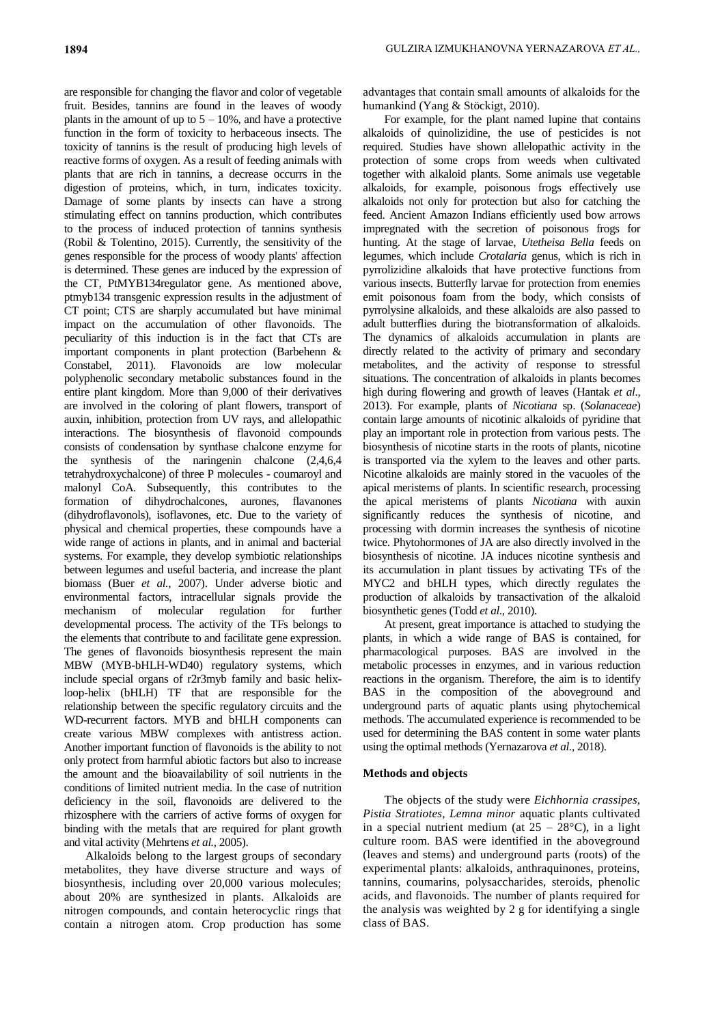are responsible for changing the flavor and color of vegetable fruit. Besides, tannins are found in the leaves of woody plants in the amount of up to  $5 - 10\%$ , and have a protective function in the form of toxicity to herbaceous insects. The toxicity of tannins is the result of producing high levels of reactive forms of oxygen. As a result of feeding animals with plants that are rich in tannins, a decrease occurrs in the digestion of proteins, which, in turn, indicates toxicity. Damage of some plants by insects can have a strong stimulating effect on tannins production, which contributes to the process of induced protection of tannins synthesis (Robil & Tolentino, 2015). Currently, the sensitivity of the genes responsible for the process of woody plants' affection is determined. These genes are induced by the expression of the CT, PtMYB134regulator gene. As mentioned above, ptmyb134 transgenic expression results in the adjustment of CT point; CTS are sharply accumulated but have minimal impact on the accumulation of other flavonoids. The peculiarity of this induction is in the fact that CTs are important components in plant protection (Barbehenn & Constabel, 2011). Flavonoids are low molecular polyphenolic secondary metabolic substances found in the entire plant kingdom. More than 9,000 of their derivatives are involved in the coloring of plant flowers, transport of auxin, inhibition, protection from UV rays, and allelopathic interactions. The biosynthesis of flavonoid compounds consists of condensation by synthase chalcone enzyme for the synthesis of the naringenin chalcone (2,4,6,4 tetrahydroxychalcone) of three P molecules - coumaroyl and malonyl CoA. Subsequently, this contributes to the formation of dihydrochalcones, aurones, flavanones (dihydroflavonols), isoflavones, etc. Due to the variety of physical and chemical properties, these compounds have a wide range of actions in plants, and in animal and bacterial systems. For example, they develop symbiotic relationships between legumes and useful bacteria, and increase the plant biomass (Buer *et al.*, 2007). Under adverse biotic and environmental factors, intracellular signals provide the mechanism of molecular regulation for further developmental process. The activity of the TFs belongs to the elements that contribute to and facilitate gene expression. The genes of flavonoids biosynthesis represent the main MBW (MYB-bHLH-WD40) regulatory systems, which include special organs of r2r3myb family and basic helixloop-helix (bHLH) TF that are responsible for the relationship between the specific regulatory circuits and the WD-recurrent factors. MYB and bHLH components can create various MBW complexes with antistress action. Another important function of flavonoids is the ability to not only protect from harmful abiotic factors but also to increase the amount and the bioavailability of soil nutrients in the conditions of limited nutrient media. In the case of nutrition deficiency in the soil, flavonoids are delivered to the rhizosphere with the carriers of active forms of oxygen for binding with the metals that are required for plant growth and vital activity (Mehrtens *et al.*, 2005).

Alkaloids belong to the largest groups of secondary metabolites, they have diverse structure and ways of biosynthesis, including over 20,000 various molecules; about 20% are synthesized in plants. Alkaloids are nitrogen compounds, and contain heterocyclic rings that contain a nitrogen atom. Crop production has some

advantages that contain small amounts of alkaloids for the humankind (Yang & Stöckigt, 2010).

For example, for the plant named lupine that contains alkaloids of quinolizidine, the use of pesticides is not required. Studies have shown allelopathic activity in the protection of some crops from weeds when cultivated together with alkaloid plants. Some animals use vegetable alkaloids, for example, poisonous frogs effectively use alkaloids not only for protection but also for catching the feed. Ancient Amazon Indians efficiently used bow arrows impregnated with the secretion of poisonous frogs for hunting. At the stage of larvae, *Utetheisa Bella* feeds on legumes, which include *Crotalaria* genus, which is rich in pyrrolizidine alkaloids that have protective functions from various insects. Butterfly larvae for protection from enemies emit poisonous foam from the body, which consists of pyrrolysine alkaloids, and these alkaloids are also passed to adult butterflies during the biotransformation of alkaloids. The dynamics of alkaloids accumulation in plants are directly related to the activity of primary and secondary metabolites, and the activity of response to stressful situations. The concentration of alkaloids in plants becomes high during flowering and growth of leaves (Hantak *et al*., 2013). For example, plants of *Nicotiana* sp. (*Solanaceae*) contain large amounts of nicotinic alkaloids of pyridine that play an important role in protection from various pests. The biosynthesis of nicotine starts in the roots of plants, nicotine is transported via the xylem to the leaves and other parts. Nicotine alkaloids are mainly stored in the vacuoles of the apical meristems of plants. In scientific research, processing the apical meristems of plants *Nicotiana* with auxin significantly reduces the synthesis of nicotine, and processing with dormin increases the synthesis of nicotine twice. Phytohormones of JA are also directly involved in the biosynthesis of nicotine. JA induces nicotine synthesis and its accumulation in plant tissues by activating TFs of the MYC2 and bHLH types, which directly regulates the production of alkaloids by transactivation of the alkaloid biosynthetic genes (Todd *et al*., 2010).

At present, great importance is attached to studying the plants, in which a wide range of BAS is contained, for pharmacological purposes. BAS are involved in the metabolic processes in enzymes, and in various reduction reactions in the organism. Therefore, the aim is to identify BAS in the composition of the aboveground and underground parts of aquatic plants using phytochemical methods. The accumulated experience is recommended to be used for determining the BAS content in some water plants using the optimal methods (Yernazarova *et al.*, 2018).

# **Methods and objects**

The objects of the study were *Eichhornia crassipes, Pistia Stratiotes, Lemna minor* aquatic plants cultivated in a special nutrient medium (at  $25 - 28$ °C), in a light culture room. BAS were identified in the aboveground (leaves and stems) and underground parts (roots) of the experimental plants: alkaloids, anthraquinones, proteins, tannins, coumarins, polysaccharides, steroids, phenolic acids, and flavonoids. The number of plants required for the analysis was weighted by 2 g for identifying a single class of BAS.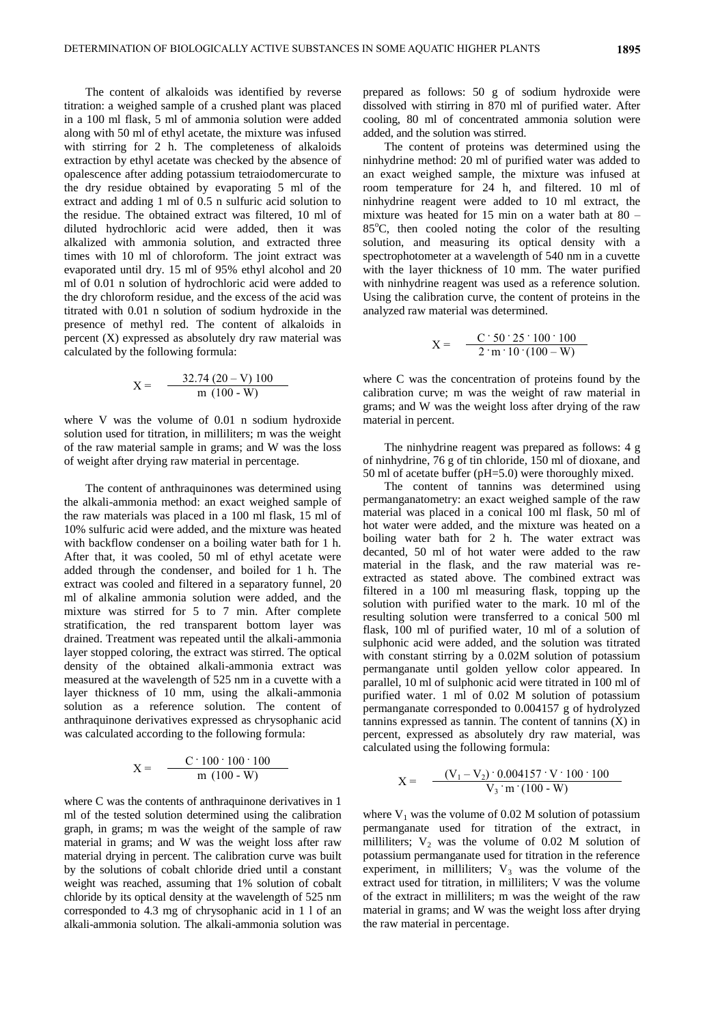The content of alkaloids was identified by reverse titration: a weighed sample of a crushed plant was placed in a 100 ml flask, 5 ml of ammonia solution were added along with 50 ml of ethyl acetate, the mixture was infused with stirring for 2 h. The completeness of alkaloids extraction by ethyl acetate was checked by the absence of opalescence after adding potassium tetraiodomercurate to the dry residue obtained by evaporating 5 ml of the extract and adding 1 ml of 0.5 n sulfuric acid solution to the residue. The obtained extract was filtered, 10 ml of diluted hydrochloric acid were added, then it was alkalized with ammonia solution, and extracted three times with 10 ml of chloroform. The joint extract was evaporated until dry. 15 ml of 95% ethyl alcohol and 20 ml of 0.01 n solution of hydrochloric acid were added to the dry chloroform residue, and the excess of the acid was titrated with 0.01 n solution of sodium hydroxide in the presence of methyl red. The content of alkaloids in percent (X) expressed as absolutely dry raw material was calculated by the following formula:

$$
X = \frac{32.74 (20 - V) 100}{m (100 - W)}
$$

where V was the volume of 0.01 n sodium hydroxide solution used for titration, in milliliters; m was the weight of the raw material sample in grams; and W was the loss of weight after drying raw material in percentage.

The content of anthraquinones was determined using the alkali-ammonia method: an exact weighed sample of the raw materials was placed in a 100 ml flask, 15 ml of 10% sulfuric acid were added, and the mixture was heated with backflow condenser on a boiling water bath for 1 h. After that, it was cooled, 50 ml of ethyl acetate were added through the condenser, and boiled for 1 h. The extract was cooled and filtered in a separatory funnel, 20 ml of alkaline ammonia solution were added, and the mixture was stirred for 5 to 7 min. After complete stratification, the red transparent bottom layer was drained. Treatment was repeated until the alkali-ammonia layer stopped coloring, the extract was stirred. The optical density of the obtained alkali-ammonia extract was measured at the wavelength of 525 nm in a cuvette with a layer thickness of 10 mm, using the alkali-ammonia solution as a reference solution. The content of anthraquinone derivatives expressed as chrysophanic acid was calculated according to the following formula:

$$
X = \frac{C \cdot 100 \cdot 100 \cdot 100}{m (100 - W)}
$$

where C was the contents of anthraquinone derivatives in 1 ml of the tested solution determined using the calibration graph, in grams; m was the weight of the sample of raw material in grams; and W was the weight loss after raw material drying in percent. The calibration curve was built by the solutions of cobalt chloride dried until a constant weight was reached, assuming that 1% solution of cobalt chloride by its optical density at the wavelength of 525 nm corresponded to 4.3 mg of chrysophanic acid in 1 l of an alkali-ammonia solution. The alkali-ammonia solution was

prepared as follows: 50 g of sodium hydroxide were dissolved with stirring in 870 ml of purified water. After cooling, 80 ml of concentrated ammonia solution were added, and the solution was stirred.

The content of proteins was determined using the ninhydrine method: 20 ml of purified water was added to an exact weighed sample, the mixture was infused at room temperature for 24 h, and filtered. 10 ml of ninhydrine reagent were added to 10 ml extract, the mixture was heated for 15 min on a water bath at  $80 85^{\circ}$ C, then cooled noting the color of the resulting solution, and measuring its optical density with a spectrophotometer at a wavelength of 540 nm in a cuvette with the layer thickness of 10 mm. The water purified with ninhydrine reagent was used as a reference solution. Using the calibration curve, the content of proteins in the analyzed raw material was determined.

$$
X = \frac{C \cdot 50 \cdot 25 \cdot 100 \cdot 100}{2 \cdot m \cdot 10 \cdot (100 - W)}
$$

where C was the concentration of proteins found by the calibration curve; m was the weight of raw material in grams; and W was the weight loss after drying of the raw material in percent.

The ninhydrine reagent was prepared as follows: 4 g of ninhydrine, 76 g of tin chloride, 150 ml of dioxane, and 50 ml of acetate buffer (pH=5.0) were thoroughly mixed.

The content of tannins was determined using permanganatometry: an exact weighed sample of the raw material was placed in a conical 100 ml flask, 50 ml of hot water were added, and the mixture was heated on a boiling water bath for 2 h. The water extract was decanted, 50 ml of hot water were added to the raw material in the flask, and the raw material was reextracted as stated above. The combined extract was filtered in a 100 ml measuring flask, topping up the solution with purified water to the mark. 10 ml of the resulting solution were transferred to a conical 500 ml flask, 100 ml of purified water, 10 ml of a solution of sulphonic acid were added, and the solution was titrated with constant stirring by a 0.02M solution of potassium permanganate until golden yellow color appeared. In parallel, 10 ml of sulphonic acid were titrated in 100 ml of purified water. 1 ml of 0.02 M solution of potassium permanganate corresponded to 0.004157 g of hydrolyzed  $t$ annins expressed as tannin. The content of tannins  $(X)$  in percent, expressed as absolutely dry raw material, was calculated using the following formula:

$$
X = \frac{(V_1 - V_2) \cdot 0.004157 \cdot V \cdot 100 \cdot 100}{V_3 \cdot m \cdot (100 - W)}
$$

where  $V_1$  was the volume of 0.02 M solution of potassium permanganate used for titration of the extract, in milliliters;  $V_2$  was the volume of 0.02 M solution of potassium permanganate used for titration in the reference experiment, in milliliters;  $V_3$  was the volume of the extract used for titration, in milliliters; V was the volume of the extract in milliliters; m was the weight of the raw material in grams; and W was the weight loss after drying the raw material in percentage.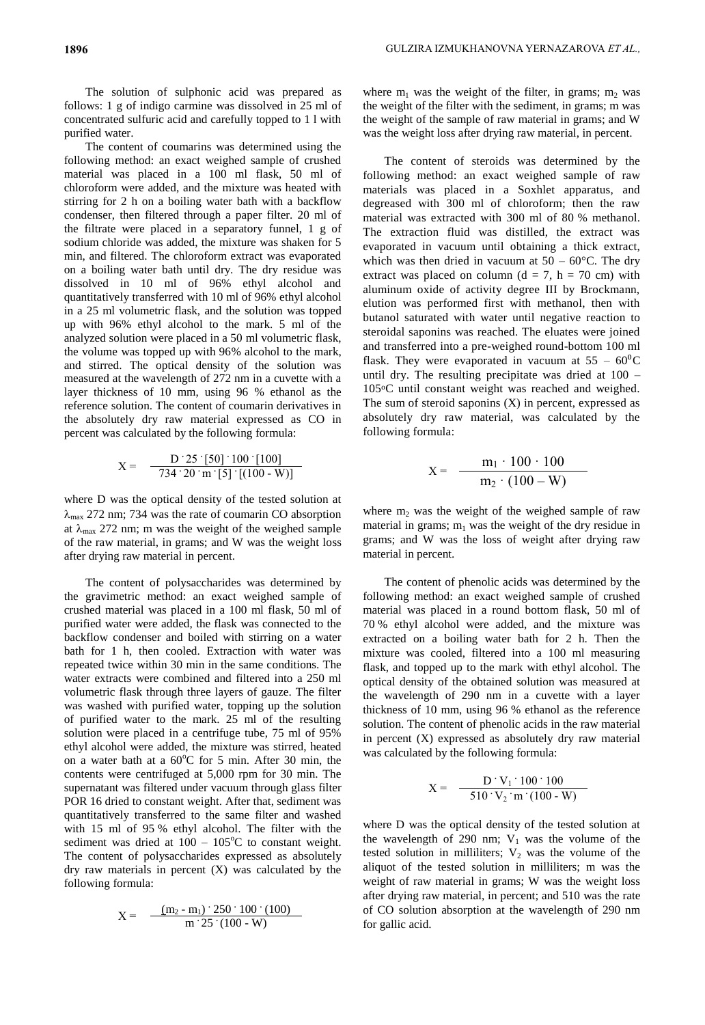The solution of sulphonic acid was prepared as follows: 1 g of indigo carmine was dissolved in 25 ml of concentrated sulfuric acid and carefully topped to 1 l with purified water.

The content of coumarins was determined using the following method: an exact weighed sample of crushed material was placed in a 100 ml flask, 50 ml of chloroform were added, and the mixture was heated with stirring for 2 h on a boiling water bath with a backflow condenser, then filtered through a paper filter. 20 ml of the filtrate were placed in a separatory funnel, 1 g of sodium chloride was added, the mixture was shaken for 5 min, and filtered. The chloroform extract was evaporated on a boiling water bath until dry. The dry residue was dissolved in 10 ml of 96% ethyl alcohol and quantitatively transferred with 10 ml of 96% ethyl alcohol in a 25 ml volumetric flask, and the solution was topped up with 96% ethyl alcohol to the mark. 5 ml of the analyzed solution were placed in a 50 ml volumetric flask, the volume was topped up with 96% alcohol to the mark, and stirred. The optical density of the solution was measured at the wavelength of 272 nm in a cuvette with a layer thickness of 10 mm, using 96 % ethanol as the reference solution. The content of coumarin derivatives in the absolutely dry raw material expressed as CO in percent was calculated by the following formula:

$$
X = \frac{D \cdot 25 \cdot [50] \cdot 100 \cdot [100]}{734 \cdot 20 \cdot m \cdot [5] \cdot [(100 - W)]}
$$

where D was the optical density of the tested solution at  $\lambda_{\text{max}}$  272 nm; 734 was the rate of coumarin CO absorption at  $\lambda_{\text{max}}$  272 nm; m was the weight of the weighed sample of the raw material, in grams; and W was the weight loss after drying raw material in percent.

The content of polysaccharides was determined by the gravimetric method: an exact weighed sample of crushed material was placed in a 100 ml flask, 50 ml of purified water were added, the flask was connected to the backflow condenser and boiled with stirring on a water bath for 1 h, then cooled. Extraction with water was repeated twice within 30 min in the same conditions. The water extracts were combined and filtered into a 250 ml volumetric flask through three layers of gauze. The filter was washed with purified water, topping up the solution of purified water to the mark. 25 ml of the resulting solution were placed in a centrifuge tube, 75 ml of 95% ethyl alcohol were added, the mixture was stirred, heated on a water bath at a  $60^{\circ}$ C for 5 min. After 30 min, the contents were centrifuged at 5,000 rpm for 30 min. The supernatant was filtered under vacuum through glass filter POR 16 dried to constant weight. After that, sediment was quantitatively transferred to the same filter and washed with 15 ml of 95 % ethyl alcohol. The filter with the sediment was dried at  $100 - 105^{\circ}$ C to constant weight. The content of polysaccharides expressed as absolutely dry raw materials in percent (X) was calculated by the following formula:

$$
X = \frac{(m_2 - m_1) \cdot 250 \cdot 100 \cdot (100)}{m \cdot 25 \cdot (100 - W)}
$$

where  $m_1$  was the weight of the filter, in grams;  $m_2$  was the weight of the filter with the sediment, in grams; m was the weight of the sample of raw material in grams; and W was the weight loss after drying raw material, in percent.

The content of steroids was determined by the following method: an exact weighed sample of raw materials was placed in a Soxhlet apparatus, and degreased with 300 ml of chloroform; then the raw material was extracted with 300 ml of 80 % methanol. The extraction fluid was distilled, the extract was evaporated in vacuum until obtaining a thick extract, which was then dried in vacuum at  $50 - 60^{\circ}$ C. The dry extract was placed on column ( $d = 7$ ,  $h = 70$  cm) with aluminum oxide of activity degree III by Brockmann, elution was performed first with methanol, then with butanol saturated with water until negative reaction to steroidal saponins was reached. The eluates were joined and transferred into a pre-weighed round-bottom 100 ml flask. They were evaporated in vacuum at  $55 - 60^{\circ}$ C until dry. The resulting precipitate was dried at 100 – 105oC until constant weight was reached and weighed. The sum of steroid saponins  $(X)$  in percent, expressed as absolutely dry raw material, was calculated by the following formula:

$$
X = \frac{m_1 \cdot 100 \cdot 100}{m_2 \cdot (100 - W)}
$$

where  $m_2$  was the weight of the weighed sample of raw material in grams;  $m_1$  was the weight of the dry residue in grams; and W was the loss of weight after drying raw material in percent.

The content of phenolic acids was determined by the following method: an exact weighed sample of crushed material was placed in a round bottom flask, 50 ml of 70 % ethyl alcohol were added, and the mixture was extracted on a boiling water bath for 2 h. Then the mixture was cooled, filtered into a 100 ml measuring flask, and topped up to the mark with ethyl alcohol. The optical density of the obtained solution was measured at the wavelength of 290 nm in a cuvette with a layer thickness of 10 mm, using 96 % ethanol as the reference solution. The content of phenolic acids in the raw material in percent (X) expressed as absolutely dry raw material was calculated by the following formula:

$$
X = \frac{D \cdot V_1 \cdot 100 \cdot 100}{510 \cdot V_2 \cdot m \cdot (100 - W)}
$$

where D was the optical density of the tested solution at the wavelength of 290 nm;  $V_1$  was the volume of the tested solution in milliliters;  $V_2$  was the volume of the aliquot of the tested solution in milliliters; m was the weight of raw material in grams; W was the weight loss after drying raw material, in percent; and 510 was the rate of CO solution absorption at the wavelength of 290 nm for gallic acid.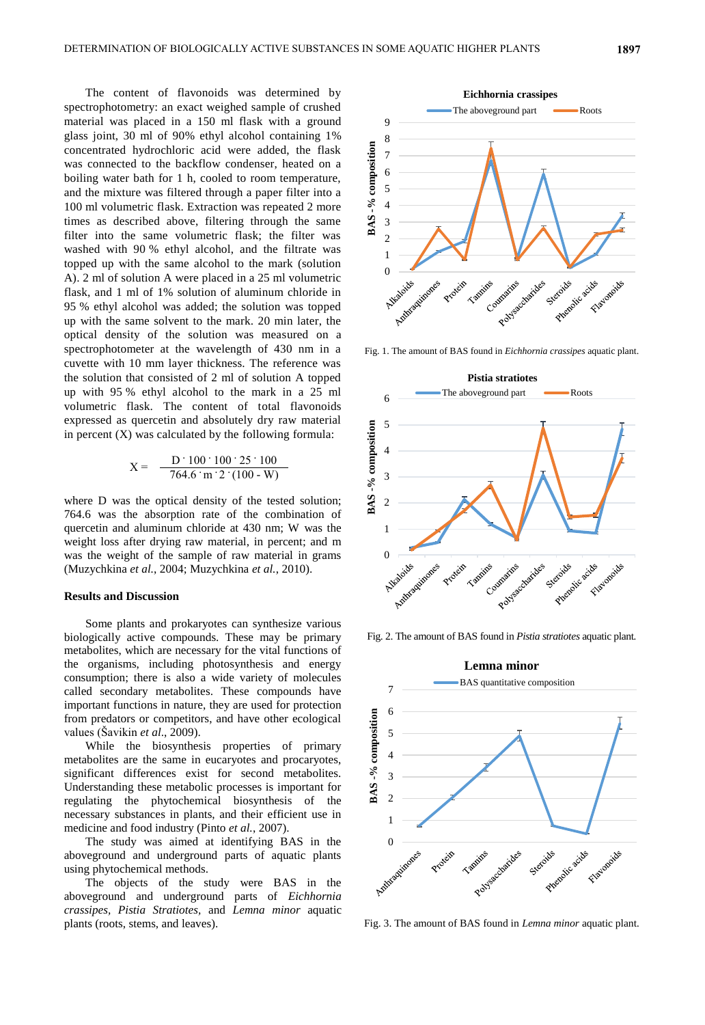The content of flavonoids was determined by spectrophotometry: an exact weighed sample of crushed material was placed in a 150 ml flask with a ground glass joint, 30 ml of 90% ethyl alcohol containing 1% concentrated hydrochloric acid were added, the flask was connected to the backflow condenser, heated on a boiling water bath for 1 h, cooled to room temperature, and the mixture was filtered through a paper filter into a 100 ml volumetric flask. Extraction was repeated 2 more times as described above, filtering through the same filter into the same volumetric flask; the filter was washed with 90 % ethyl alcohol, and the filtrate was topped up with the same alcohol to the mark (solution A). 2 ml of solution A were placed in a 25 ml volumetric flask, and 1 ml of 1% solution of aluminum chloride in 95 % ethyl alcohol was added; the solution was topped up with the same solvent to the mark. 20 min later, the optical density of the solution was measured on a spectrophotometer at the wavelength of 430 nm in a cuvette with 10 mm layer thickness. The reference was the solution that consisted of 2 ml of solution A topped up with 95 % ethyl alcohol to the mark in a 25 ml volumetric flask. The content of total flavonoids expressed as quercetin and absolutely dry raw material in percent  $(X)$  was calculated by the following formula:

$$
X = \frac{D \cdot 100 \cdot 100 \cdot 25 \cdot 100}{764.6 \cdot m \cdot 2 \cdot (100 \cdot W)}
$$

where D was the optical density of the tested solution; 764.6 was the absorption rate of the combination of quercetin and aluminum chloride at 430 nm; W was the weight loss after drying raw material, in percent; and m was the weight of the sample of raw material in grams (Muzychkina *et al.*, 2004; Muzychkina *et al.*, 2010).

#### **Results and Discussion**

Some plants and prokaryotes can synthesize various biologically active compounds. These may be primary metabolites, which are necessary for the vital functions of the organisms, including photosynthesis and energy consumption; there is also a wide variety of molecules called secondary metabolites. These compounds have important functions in nature, they are used for protection from predators or competitors, and have other ecological values (Šavikin *et al*., 2009).

While the biosynthesis properties of primary metabolites are the same in eucaryotes and procaryotes, significant differences exist for second metabolites. Understanding these metabolic processes is important for regulating the phytochemical biosynthesis of the necessary substances in plants, and their efficient use in medicine and food industry (Pinto *et al.*, 2007).

The study was aimed at identifying BAS in the aboveground and underground parts of aquatic plants using phytochemical methods.

The objects of the study were BAS in the aboveground and underground parts of *Eichhornia crassipes, Pistia Stratiotes,* and *Lemna minor* aquatic plants (roots, stems, and leaves).



Fig. 1. The amount of BAS found in *Eichhornia crassipes* aquatic plant.



Fig. 2. The amount of BAS found in *Pistia stratiotes* aquatic plant*.*



Fig. 3. The amount of BAS found in *Lemna minor* aquatic plant*.*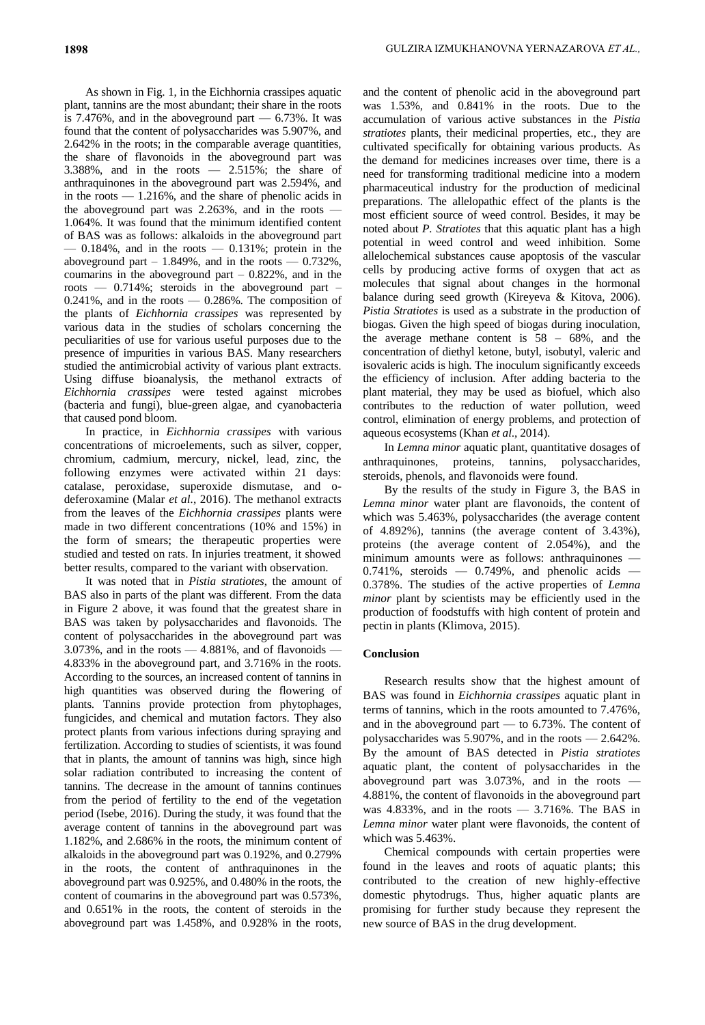As shown in Fig. 1, in the Eichhornia crassipes aquatic plant, tannins are the most abundant; their share in the roots is 7.476%, and in the aboveground part  $-6.73$ %. It was found that the content of polysaccharides was 5.907%, and 2.642% in the roots; in the comparable average quantities, the share of flavonoids in the aboveground part was 3.388%, and in the roots — 2.515%; the share of anthraquinones in the aboveground part was 2.594%, and in the roots — 1.216%, and the share of phenolic acids in the aboveground part was 2.263%, and in the roots — 1.064%. It was found that the minimum identified content of BAS was as follows: alkaloids in the aboveground part  $-$  0.184%, and in the roots  $-$  0.131%; protein in the aboveground part  $-1.849\%$ , and in the roots  $-0.732\%$ , coumarins in the above ground part  $-0.822\%$ , and in the roots — 0.714%; steroids in the aboveground part –  $0.241\%$ , and in the roots  $-0.286\%$ . The composition of the plants of *Eichhornia crassipes* was represented by various data in the studies of scholars concerning the peculiarities of use for various useful purposes due to the presence of impurities in various BAS. Many researchers studied the antimicrobial activity of various plant extracts. Using diffuse bioanalysis, the methanol extracts of *Eichhornia crassipes* were tested against microbes (bacteria and fungi), blue-green algae, and cyanobacteria that caused pond bloom.

In practice, in *Eichhornia crassipes* with various concentrations of microelements, such as silver, copper, chromium, cadmium, mercury, nickel, lead, zinc, the following enzymes were activated within 21 days: catalase, peroxidase, superoxide dismutase, and odeferoxamine (Malar *et al.*, 2016). The methanol extracts from the leaves of the *Eichhornia crassipes* plants were made in two different concentrations (10% and 15%) in the form of smears; the therapeutic properties were studied and tested on rats. In injuries treatment, it showed better results, compared to the variant with observation.

It was noted that in *Pistia stratiotes*, the amount of BAS also in parts of the plant was different. From the data in Figure 2 above, it was found that the greatest share in BAS was taken by polysaccharides and flavonoids. The content of polysaccharides in the aboveground part was 3.073%, and in the roots  $-4.881%$ , and of flavonoids  $-$ 4.833% in the aboveground part, and 3.716% in the roots. According to the sources, an increased content of tannins in high quantities was observed during the flowering of plants. Tannins provide protection from phytophages, fungicides, and chemical and mutation factors. They also protect plants from various infections during spraying and fertilization. According to studies of scientists, it was found that in plants, the amount of tannins was high, since high solar radiation contributed to increasing the content of tannins. The decrease in the amount of tannins continues from the period of fertility to the end of the vegetation period (Isebe, 2016). During the study, it was found that the average content of tannins in the aboveground part was 1.182%, and 2.686% in the roots, the minimum content of alkaloids in the aboveground part was 0.192%, and 0.279% in the roots, the content of anthraquinones in the aboveground part was 0.925%, and 0.480% in the roots, the content of coumarins in the aboveground part was 0.573%, and 0.651% in the roots, the content of steroids in the aboveground part was 1.458%, and 0.928% in the roots,

and the content of phenolic acid in the aboveground part was 1.53%, and 0.841% in the roots. Due to the accumulation of various active substances in the *Pistia stratiotes* plants, their medicinal properties, etc., they are cultivated specifically for obtaining various products. As the demand for medicines increases over time, there is a need for transforming traditional medicine into a modern pharmaceutical industry for the production of medicinal preparations. The allelopathic effect of the plants is the most efficient source of weed control. Besides, it may be noted about *P. Stratiotes* that this aquatic plant has a high potential in weed control and weed inhibition. Some allelochemical substances cause apoptosis of the vascular cells by producing active forms of oxygen that act as molecules that signal about changes in the hormonal balance during seed growth (Kireyeva & Kitova, 2006). *Pistia Stratiotes* is used as a substrate in the production of biogas. Given the high speed of biogas during inoculation, the average methane content is 58 – 68%, and the concentration of diethyl ketone, butyl, isobutyl, valeric and isovaleric acids is high. The inoculum significantly exceeds the efficiency of inclusion. After adding bacteria to the plant material, they may be used as biofuel, which also contributes to the reduction of water pollution, weed control, elimination of energy problems, and protection of aqueous ecosystems (Khan *et al*., 2014).

In *Lemna minor* aquatic plant, quantitative dosages of anthraquinones, proteins, tannins, polysaccharides, steroids, phenols, and flavonoids were found.

By the results of the study in Figure 3, the BAS in *Lemna minor* water plant are flavonoids, the content of which was 5.463%, polysaccharides (the average content of 4.892%), tannins (the average content of 3.43%), proteins (the average content of 2.054%), and the minimum amounts were as follows: anthraquinones —  $0.741\%$ , steroids  $-$  0.749%, and phenolic acids  $-$ 0.378%. The studies of the active properties of *Lemna minor* plant by scientists may be efficiently used in the production of foodstuffs with high content of protein and pectin in plants (Klimova, 2015).

# **Conclusion**

Research results show that the highest amount of BAS was found in *Eichhornia crassipes* aquatic plant in terms of tannins, which in the roots amounted to 7.476%, and in the aboveground part — to 6.73%. The content of polysaccharides was 5.907%, and in the roots — 2.642%. By the amount of BAS detected in *Pistia stratiotes* aquatic plant, the content of polysaccharides in the aboveground part was 3.073%, and in the roots — 4.881%, the content of flavonoids in the aboveground part was  $4.833\%$ , and in the roots  $-3.716\%$ . The BAS in *Lemna minor* water plant were flavonoids, the content of which was 5.463%.

Chemical compounds with certain properties were found in the leaves and roots of aquatic plants; this contributed to the creation of new highly-effective domestic phytodrugs. Thus, higher aquatic plants are promising for further study because they represent the new source of BAS in the drug development.